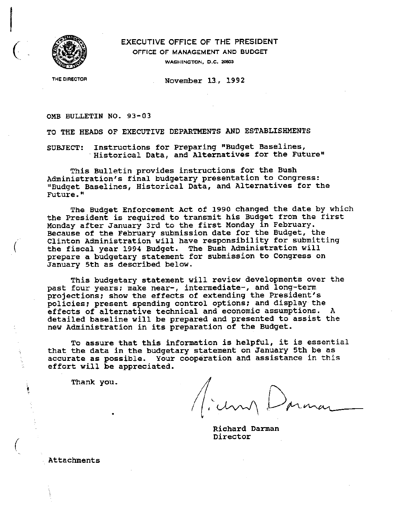

# EXECUTIVE OFFICE OF THE PRESIDENT

OFFICE OF MANAGEMENT AND BUDGET WASHINGTON, D.C. 20503

(

(

i.

THE DIRECTOR November 13, 1992

OMB BULLETIN NO. 93-03

TO THE HEADS OF EXECUTIVE DEPARTMENTS AND ESTABLISHMENTS

SUBJECT: Instructions for Preparing "Budget Baselines, .Historical Data, and Alternatives for the Future"

This Bulletin provides instructions for the Bush Administration's final budgetary presentation to Congress: "Budget Baselines, Historical Data, and Alternatives for the Future."

The Budget Enforcement Act of 1990 changed the date by which the President is required to transmit his Budget from the first Monday after January 3rd to the first Monday in February. Because of the February submission date for the BUdget, the Clinton Administration will have responsibility for submitting the fiscal year 1994 Budget. The Bush Administration will prepare a bUdgetary statement for submission to congress on January 5th as described below.

This budgetary statement will review developments over the past four years; make near-, intermediate-, and long-term projections; show the effects of extending the President's policies; present spending control options; and display the effects of alternative technical and economic assumptions. A detailed baseline will be prepared and presented to assist the new Administration in its preparation of the Budget.

To assure that this information is helpful, it is essential that the data in the bUdgetary statement on January 5th be as accurate as possible. Your cooperation and assistance in this effort will be appreciated.

Thank you.

Richard Darman Director

Attachments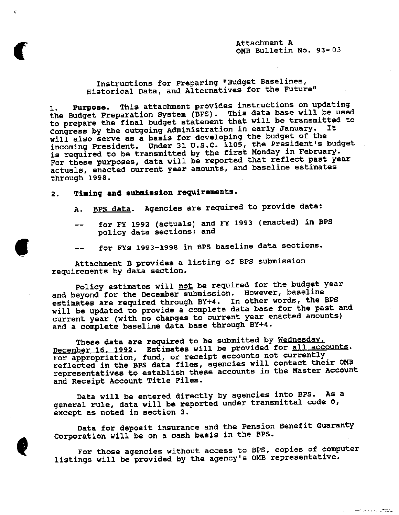المتعجبين والرسرا مسا

## Instructions for Preparing "Budget Baselines, Historical Data, and Alternatives for the Future"

1. **Purpose.** This attachment provides instructions on updating the Budget Preparation System (BPS). This data base will be used to prepare the final budget statement that will be transmitted to Congress by the outgoing Administration in early January. will also serve as a basis for developing the budget of the incoming President. Under 31 U.S.C. 1105, the President's budget is required to be transmitted by the first Monday in February. For these purposes, data will be reported that reflect past year actuals, enacted current year amounts, and baseline estimates through 1998.

### 2. **Timinq and submission requirements.**

 $\epsilon$ 

**e** 

- A. BPS data. Agencies are required to provide data:
- for FY 1992 (actuals) and FY 1993 (enacted) in BPS  $-$ policy data sections: and
- for FYs 1993-1998 in BPS baseline data sections.

Attachment B provides a listing of BPS submission requirements by data section.

Policy estimates will not be required for the budget year and beyond for the December submission. However, baseline estimates are required through BY+4. In other words, the BPS will be updated to provide a complete data base for the past and current year (with no changes to current year enacted amounts) and a complete baseline data base through BY+4.

These data are required to be submitted by Wednesday, December 16, 1992. Estimates will be provided for all accounts. For appropriation, fund, or receipt accounts not currently reflected in the BPS data files, agencies will contact their OMB representatives to establish these accounts in the Master Account and Receipt Account Title Files.

Data will be entered directly by agencies into BPS. As a general rule, data will be reported under transmittal code 0, except as noted in section 3.

Data for deposit insurance and the Pension Benefit Guaranty Corporation will be on a cash basis in the BPS.

For those agencies without access to BPS, copies of computer listings will be provided by the agency's OMB representative.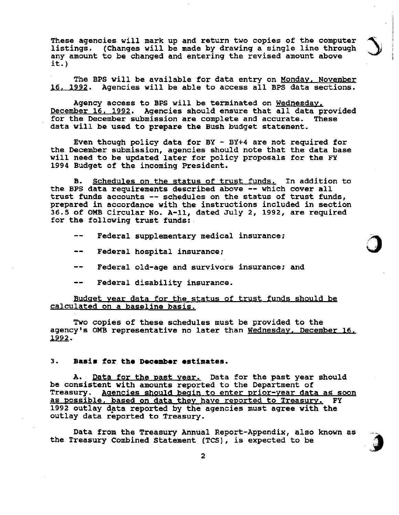These agencies will mark up and return two copies of the computer listings. (Changes will be made by drawing a single line through any amount to be changed and entering the revised amount above  $it.)$ 

The BPS will be available for data entry on Monday, November 16. 1992. Agencies will be able to access all BPS data sections.

Agency access to BPS will be terminated on Wednesday.<br>December 16, 1992. Agencies should ensure that all data pr Agencies should ensure that all data provided for the December submission are complete and accurate. These data will be used to prepare the Bush budget statement.

Even though policy data for BY - BY+4 are not required for the December submission, agencies should note that the data base will need to be updated later for policy proposals for the FY 1994 BUdget of the incoming President.

B. Schedules on the status of trust funds. In addition to the BPS data requirements described above -- which cover all trust funds accounts -- schedules on the status of trust funds, prepared in accordance with the instructions included in section 36.5 of OMB Circular No. A-11, dated July 2, 1992, are required for the following trust funds:

- Federal supplementary medical insurance;
- Federal hospital insurance;
- Federal old-age and survivors insurance; and  $- -$
- $\qquad \qquad -$ Federal disability insurance.

Budget year data for the status of trust funds should be calculated on a baseline basis.

Two copies of these schedules must be provided to the agency's OMB representative no later than Wednesday. December 16. 1992.

### 3. **Basis for the December estimates.**

A. Data for the past year. Data for the past year should be consistent with amounts reported to the Department of Treasury. Agencies should begin to enter prior-year data as soon as possible. based on data they have reported to Treasury. FY 1992 outlay data reported by the agencies must agree with the outlay data reported to Treasury.

Data from the Treasury Annual Report-Appendix, also known as the Treasury Combined statement (TCS), is expected to be ~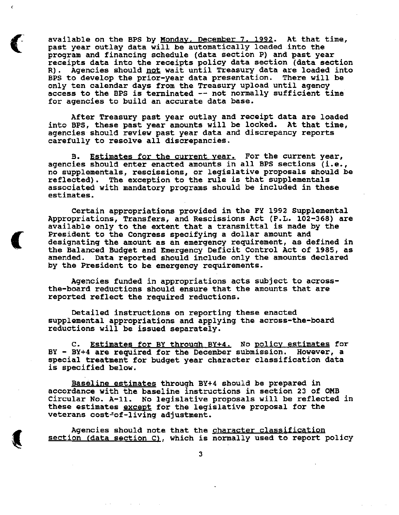available on the BPS by Monday, December 7, 1992. At that time, past year outlay data will be automatically loaded into the program and financing schedule (data section P) and past year receipts data into the receipts policy data section (data section R). Agencies should not wait until Treasury data are loaded into BPS to develop the prior-year data presentation. There will be only ten calendar days from the Treasury upload until agency access to the BPS is terminated -- not normally sufficient time for agencies to build an accurate data base.

(

 $\overline{\mathbf{C}}$ 

After Treasury past year outlay and receipt data are loaded into BPS, these past year amounts will be locked. At that time, agencies should review past year data and discrepancy reports carefully to resolve all discrepancies.

B. Estimates for the current year. For the current year, agencies should enter enacted amounts in all BPS sections (i.e., no supplementals, rescissions, or legislative proposals should be reflected). The exception to the rule is that supplementals associated with mandatory programs should be included in these estimates.

Certain appropriations provided in the FY 1992 Supplemental Appropriations, Transfers, and Rescissions Act (P.L. 102-368) are available only to the extent that a transmittal is made by the President to the Congress specifying a dollar amount and designating the amount as an emergency requirement, as defined in the Balanced BUdget and Emergency Deficit Control Act of 1985, as Data reported should include only the amounts declared by the President to be emergency requirements.

Agencies funded in appropriations acts subject to acrossthe-board reductions should ensure that the amounts that are reported reflect the required reductions.

Detailed instructions on reporting these enacted supplemental appropriations and applying the across-the-board reductions will be issued separately.

C. <u>Estimates for BY through BY+4.</u> No <u>policy estimates</u> for<br>BY+4 are required for the December submission. However, a  $BY - BY + 4$  are required for the December submission. special treatment for budget year character classification data is specified below.

Baseline estimates through BY+4 should be prepared in accordance with the baseline instructions in section 23 of OMB Circular No. A-ll. No legislative proposals will be reflected in these estimates except for the legislative proposal for the veterans cost~of-living adjustment.

Agencies should note that the character classification section (data section C), which is normally used to report policy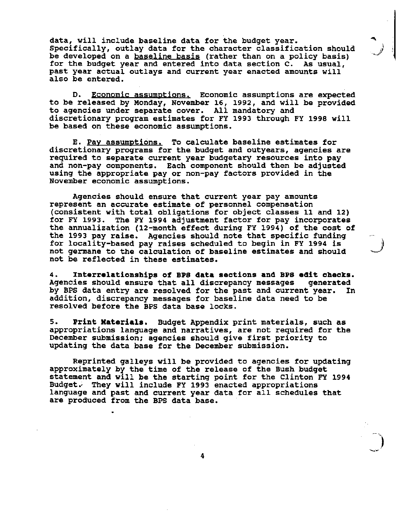data, will include baseline data for the budget year. Specifically, outlay data for the character classification should be developed on a baseline basis (rather than on a policy basis) for the budget year and entered into data section C. As usual, past year actual outlays and current year enacted amounts will also be entered.

D. Economic assumptions. Economic assumptions are expected to be released by Monday, November 16, 1992, and will be provided to agencies under separate cover. All mandatory and discretionary program estimates for FY 1993 through FY 1998 will be based on these economic assumptions.

E. Pay assumptions. To calculate baseline estimates for discretionary programs for the budget and outyears, agencies are required to separate current year budgetary resources into pay and non-pay components. Each component should then be adjusted using the appropriate payor non-pay factors provided in the November economic assumptions.

Agencies should ensure that current year pay amounts represent an accurate estimate of personnel compensation (consistent with total obligations for object classes 11 and 12) for FY 1993. The FY 1994 adjustment factor for pay incorporates the annualization (12-month effect during FY 1994) of the cost of the 1993 pay raise. Agencies should note that specific funding for locality-based pay raises scheduled to begin in FY 1994 is not germane to the calculation of baseline estimates and should not be reflected in these estimates.

4. Interrelationships of BPS data sections and BPS edit checks.<br>Agencies should ensure that all discrepancy messages generated Agencies should ensure that all discrepancy messages by BPS data entry are resolved for the past and current year. In addition, discrepancy messages for baseline data need to be resolved before the BPS data base locks.

5. print Katerials. BUdget Appendix print materials, such as appropriations language and narratives, are not required for the December submission; agencies should give first priority to updating the data base for the December submission.

Reprinted galleys will be provided to agencies for updating approximately by the time of the release of the Bush budget statement and will be the starting point for the Clinton FY 1994 Budget. They will include FY 1993 enacted appropriations language and past and current year data for all schedules that are produced from the BPS data base.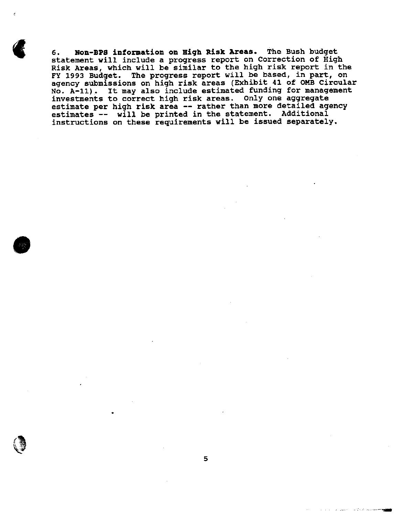6. Non-BPS information on High Risk Areas. The Bush budget statement will include a progress report on Correction of High Risk Areas, which will be similar to the high risk report in the FY 1993 BUdget. The progress report will be based, in part, on agency submissions on high risk areas (Exhibit 41 of OMB circular No. A-11). It may also include estimated funding for management investments to correct high risk areas. only one aggregate estimate per high risk area -- rather than more detailed agency estimates -- will be printed in the statement. Additional instructions on these requirements will be issued separately.

•

ć

an Mary Armstrom America